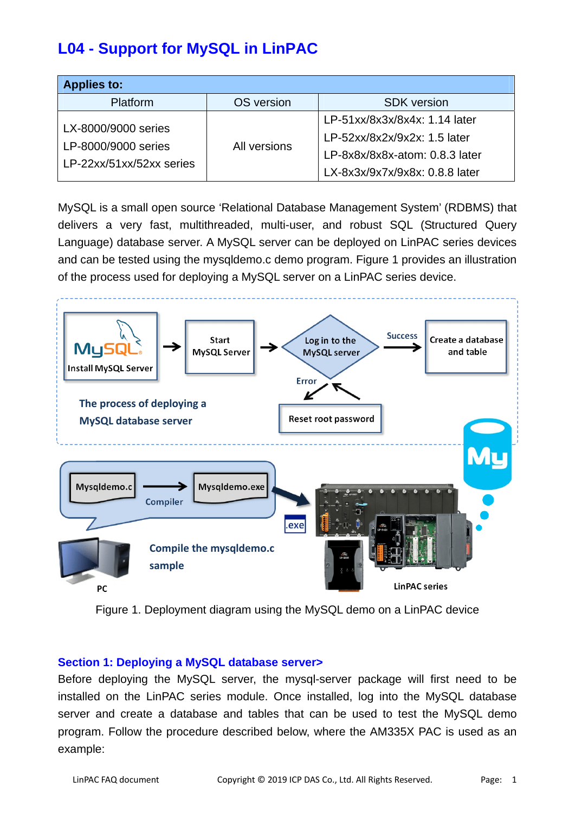# **L04 - Support for MySQL in LinPAC**

| <b>Applies to:</b>                                                     |              |                                |
|------------------------------------------------------------------------|--------------|--------------------------------|
| <b>Platform</b>                                                        | OS version   | <b>SDK</b> version             |
| LX-8000/9000 series<br>LP-8000/9000 series<br>LP-22xx/51xx/52xx series | All versions | LP-51xx/8x3x/8x4x: 1.14 later  |
|                                                                        |              | LP-52xx/8x2x/9x2x: 1.5 later   |
|                                                                        |              | LP-8x8x/8x8x-atom: 0.8.3 later |
|                                                                        |              | LX-8x3x/9x7x/9x8x: 0.8.8 later |

MySQL is a small open source 'Relational Database Management System' (RDBMS) that delivers a very fast, multithreaded, multi-user, and robust SQL (Structured Query Language) database server. A MySQL server can be deployed on LinPAC series devices and can be tested using the mysqldemo.c demo program. Figure 1 provides an illustration of the process used for deploying a MySQL server on a LinPAC series device.



Figure 1. Deployment diagram using the MySQL demo on a LinPAC device

## **Section 1: Deploying a MySQL database server>**

Before deploying the MySQL server, the mysql-server package will first need to be installed on the LinPAC series module. Once installed, log into the MySQL database server and create a database and tables that can be used to test the MySQL demo program. Follow the procedure described below, where the AM335X PAC is used as an example: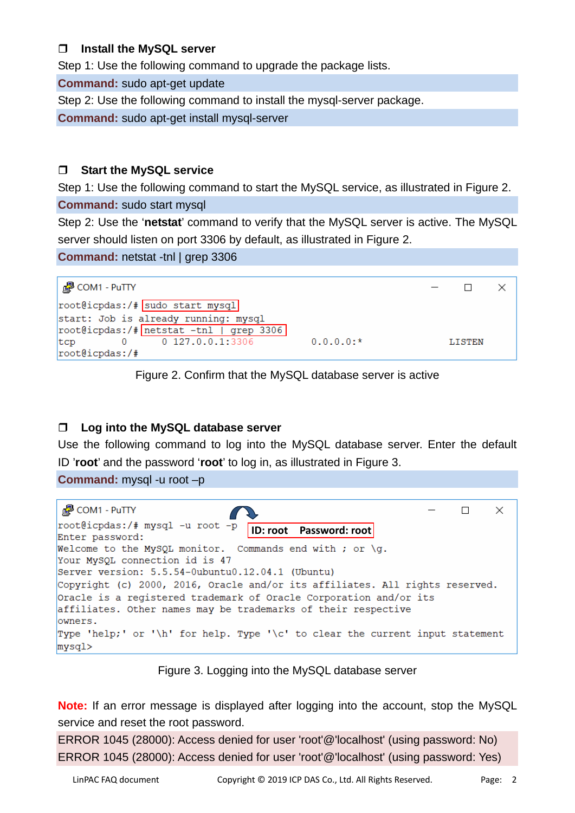# **Install the MySQL server**

Step 1: Use the following command to upgrade the package lists.

**Command:** sudo apt-get update

Step 2: Use the following command to install the mysql-server package.

**Command:** sudo apt-get install mysql-server

# **Start the MySQL service**

Step 1: Use the following command to start the MySQL service, as illustrated in Figure 2.

#### **Command:** sudo start mysql

Step 2: Use the '**netstat**' command to verify that the MySQL server is active. The MySQL server should listen on port 3306 by default, as illustrated in Figure 2.

**Command:** netstat -tnl | grep 3306



Figure 2. Confirm that the MySQL database server is active

# **Log into the MySQL database server**

Use the following command to log into the MySQL database server. Enter the default ID '**root**' and the password '**root**' to log in, as illustrated in Figure 3.

**Command:** mysql -u root –p



## Figure 3. Logging into the MySQL database server

**Note:** If an error message is displayed after logging into the account, stop the MySQL service and reset the root password.

ERROR 1045 (28000): Access denied for user 'root'@'localhost' (using password: No) ERROR 1045 (28000): Access denied for user 'root'@'localhost' (using password: Yes)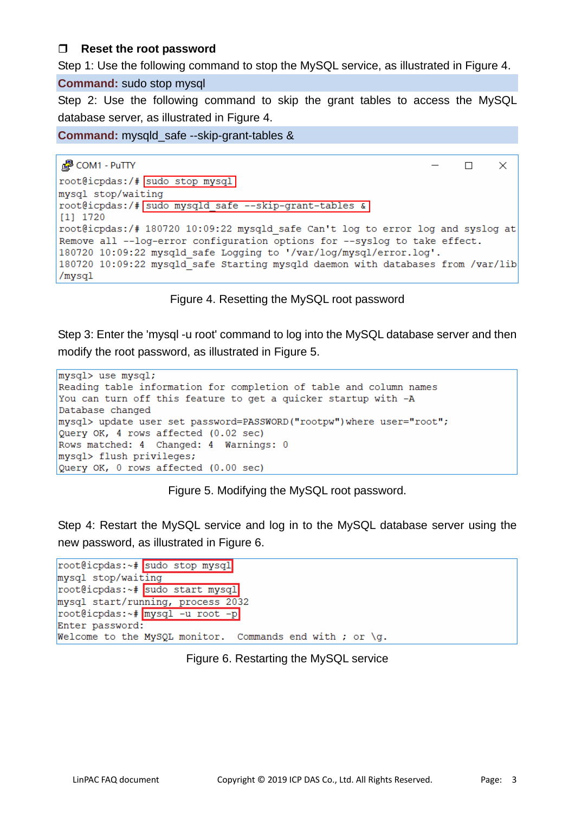# **Reset the root password**

Step 1: Use the following command to stop the MySQL service, as illustrated in Figure 4.

#### **Command:** sudo stop mysql

Step 2: Use the following command to skip the grant tables to access the MySQL database server, as illustrated in Figure 4.

**Command:** mysqld\_safe --skip-grant-tables &

```
图 COM1 - PuTTY
                                                                       \Box\timesroot@icpdas:/# sudo stop mysql
mysql stop/waiting
root@icpdas:/# sudo mysqld safe --skip-grant-tables &
[1] 1720
root@icpdas:/# 180720 10:09:22 mysqld safe Can't log to error log and syslog at
Remove all --log-error configuration options for --syslog to take effect.
180720 10:09:22 mysqld safe Logging to '/var/log/mysgl/error.log'.
180720 10:09:22 mysqld safe Starting mysqld daemon with databases from /var/lib
/mysql
```
# Figure 4. Resetting the MySQL root password

Step 3: Enter the 'mysql -u root' command to log into the MySQL database server and then modify the root password, as illustrated in Figure 5.

```
mysql> use mysql;
Reading table information for completion of table and column names
You can turn off this feature to get a quicker startup with -A
Database changed
mysql> update user set password=PASSWORD("rootpw") where user="root";
Query OK, 4 rows affected (0.02 sec)
Rows matched: 4 Changed: 4 Warnings: 0
mysql> flush privileges;
Query OK, 0 rows affected (0.00 sec)
```
Figure 5. Modifying the MySQL root password.

Step 4: Restart the MySQL service and log in to the MySQL database server using the new password, as illustrated in Figure 6.

```
root@icpdas:~# sudo stop mysql
mysql stop/waiting
root@icpdas:~# sudo start mysql
mysql start/running, process 2032
root@icpdas:~# mysql -u root -p
Enter password:
Welcome to the MySQL monitor. Commands end with ; or \g.
```
## Figure 6. Restarting the MySQL service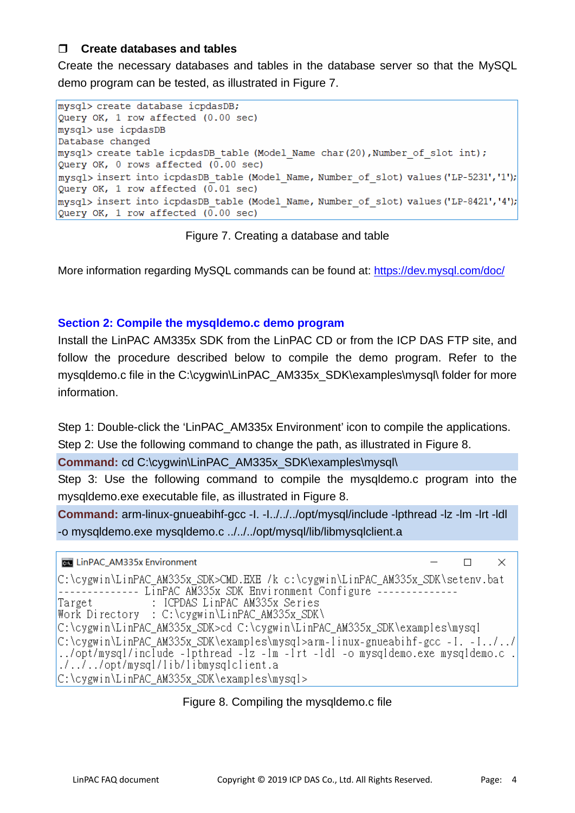# **Create databases and tables**

Create the necessary databases and tables in the database server so that the MySQL demo program can be tested, as illustrated in Figure 7.

```
mysql> create database icpdasDB:
Query OK, 1 row affected (0.00 sec)
mysql> use icpdasDB
Database changed
mysql> create table icpdasDB table (Model Name char (20), Number of slot int);
Query OK, 0 rows affected (0.00 \text{ sec})mysql> insert into icpdasDB table (Model Name, Number of slot) values ('LP-5231','1');
Query OK, 1 row affected (0.01 \text{ sec})mysql> insert into icpdasDB table (Model Name, Number of slot) values ('LP-8421','4');
Query OK, 1 row affected (0.00 sec)
```
Figure 7. Creating a database and table

More information regarding MySQL commands can be found at:<https://dev.mysql.com/doc/>

# **Section 2: Compile the mysqldemo.c demo program**

Install the LinPAC AM335x SDK from the LinPAC CD or from the ICP DAS FTP site, and follow the procedure described below to compile the demo program. Refer to the mysqldemo.c file in the C:\cygwin\LinPAC\_AM335x\_SDK\examples\mysql\ folder for more information.

Step 1: Double-click the 'LinPAC\_AM335x Environment' icon to compile the applications.

Step 2: Use the following command to change the path, as illustrated in Figure 8.

**Command:** cd C:\cygwin\LinPAC\_AM335x\_SDK\examples\mysql\

Step 3: Use the following command to compile the mysqldemo.c program into the mysqldemo.exe executable file, as illustrated in Figure 8.

**Command:** arm-linux-gnueabihf-gcc -I. -I../../../opt/mysql/include -lpthread -lz -lm -lrt -ldl -o mysqldemo.exe mysqldemo.c ../../../opt/mysql/lib/libmysqlclient.a

```
Exit LinPAC_AM335x Environment
```

```
\BoxX
```

```
C:\cygwin\LinPAC AM335x SDK>CMD.EXE /k c:\cygwin\LinPAC AM335x SDK\setenv.bat
-------------        LinPAC        AM335x        SDK        Environment Configure    ------
                : ICPDAS LinPAC AM335x Series
Target
Work Directory : C:\cygwin\LinPAC_AM335x_SDK\
C:\cygwin\LinPAC_AM335x_SDK>cd_C:\cygwin\LinPAC_AM335x_SDK\examples\mysql
C:\cygwin\LinPAC_AM335x_SDK\examples\mysql>arm-linux-gnueabihf-gcc_-I._-I../../
../opt/mysql/include -1pthread -1z -1m -1rt -1d1 -o mysqldemo.exe mysqldemo.c.
1.7.7. /opt/mysql/lib/libmysqlclient.a
C:\cygwin\LinPAC AM335x SDK\examples\mysql>
```
# Figure 8. Compiling the mysqldemo.c file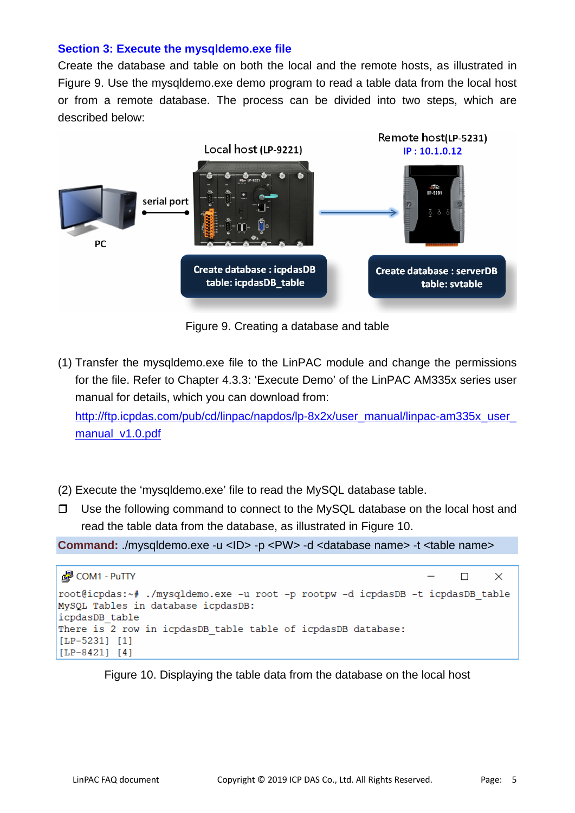## **Section 3: Execute the mysqldemo.exe file**

Create the database and table on both the local and the remote hosts, as illustrated in Figure 9. Use the mysqldemo.exe demo program to read a table data from the local host or from a remote database. The process can be divided into two steps, which are described below:



Figure 9. Creating a database and table

(1) Transfer the mysqldemo.exe file to the LinPAC module and change the permissions for the file. Refer to Chapter 4.3.3: 'Execute Demo' of the LinPAC AM335x series user manual for details, which you can download from:

http://ftp.icpdas.com/pub/cd/linpac/napdos/lp-8x2x/user\_manual/linpac-am335x\_user [manual\\_v1.0.pdf](http://ftp.icpdas.com/pub/cd/linpac/napdos/lp-8x2x/user_manual/linpac-am335x_user_manual_v1.0.pdf)

- (2) Execute the 'mysqldemo.exe' file to read the MySQL database table.
- $\Box$  Use the following command to connect to the MySQL database on the local host and read the table data from the database, as illustrated in Figure 10.

**Command:** ./mysqldemo.exe -u <ID> -p <PW> -d <database name> -t <table name>



Figure 10. Displaying the table data from the database on the local host